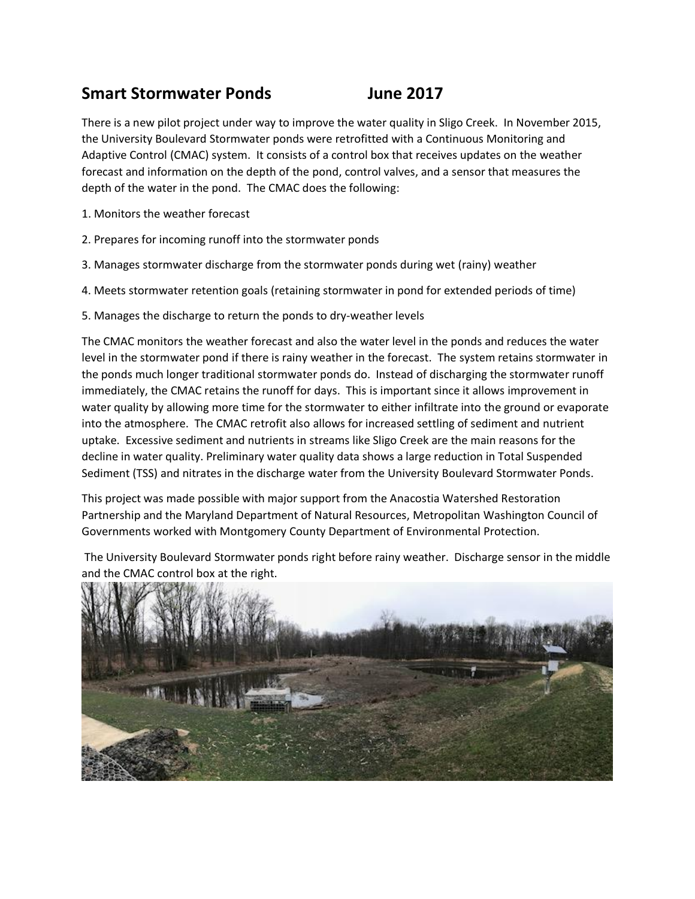## **Smart Stormwater Ponds June 2017**

There is a new pilot project under way to improve the water quality in Sligo Creek. In November 2015, the University Boulevard Stormwater ponds were retrofitted with a Continuous Monitoring and Adaptive Control (CMAC) system. It consists of a control box that receives updates on the weather forecast and information on the depth of the pond, control valves, and a sensor that measures the depth of the water in the pond. The CMAC does the following:

- 1. Monitors the weather forecast
- 2. Prepares for incoming runoff into the stormwater ponds
- 3. Manages stormwater discharge from the stormwater ponds during wet (rainy) weather
- 4. Meets stormwater retention goals (retaining stormwater in pond for extended periods of time)
- 5. Manages the discharge to return the ponds to dry-weather levels

The CMAC monitors the weather forecast and also the water level in the ponds and reduces the water level in the stormwater pond if there is rainy weather in the forecast. The system retains stormwater in the ponds much longer traditional stormwater ponds do. Instead of discharging the stormwater runoff immediately, the CMAC retains the runoff for days. This is important since it allows improvement in water quality by allowing more time for the stormwater to either infiltrate into the ground or evaporate into the atmosphere. The CMAC retrofit also allows for increased settling of sediment and nutrient uptake. Excessive sediment and nutrients in streams like Sligo Creek are the main reasons for the decline in water quality. Preliminary water quality data shows a large reduction in Total Suspended Sediment (TSS) and nitrates in the discharge water from the University Boulevard Stormwater Ponds.

This project was made possible with major support from the Anacostia Watershed Restoration Partnership and the Maryland Department of Natural Resources, Metropolitan Washington Council of Governments worked with Montgomery County Department of Environmental Protection.

The University Boulevard Stormwater ponds right before rainy weather. Discharge sensor in the middle and the CMAC control box at the right.